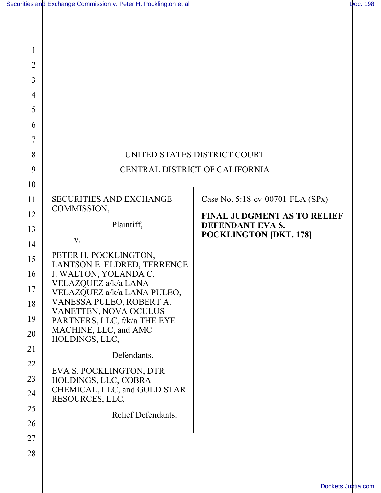Ш

| 1              |                                                       |                                                   |
|----------------|-------------------------------------------------------|---------------------------------------------------|
| $\overline{2}$ |                                                       |                                                   |
| 3              |                                                       |                                                   |
| 4              |                                                       |                                                   |
| 5              |                                                       |                                                   |
| 6              |                                                       |                                                   |
| 7              |                                                       |                                                   |
| 8              | UNITED STATES DISTRICT COURT                          |                                                   |
| 9              | CENTRAL DISTRICT OF CALIFORNIA                        |                                                   |
| 10             |                                                       |                                                   |
| 11             | <b>SECURITIES AND EXCHANGE</b><br>COMMISSION,         | Case No. 5:18-cv-00701-FLA (SPx)                  |
| 12             |                                                       | <b>FINAL JUDGMENT AS TO RELIEF</b>                |
| 13             | Plaintiff,                                            | DEFENDANT EVA S.<br><b>POCKLINGTON [DKT. 178]</b> |
| 14             | V.                                                    |                                                   |
| 15             | PETER H. POCKLINGTON,<br>LANTSON E. ELDRED, TERRENCE  |                                                   |
| 16             | J. WALTON, YOLANDA C.<br>VELAZQUEZ a/k/a LANA         |                                                   |
| 17             | VELAZQUEZ a/k/a LANA PULEO,                           |                                                   |
| 18             | VANESSA PULEO, ROBERT A.<br>VANETTEN, NOVA OCULUS     |                                                   |
| 19             | PARTNERS, LLC, f/k/a THE EYE<br>MACHINE, LLC, and AMC |                                                   |
| 20             | HOLDINGS, LLC,                                        |                                                   |
| 21             | Defendants.                                           |                                                   |
| 22             | EVA S. POCKLINGTON, DTR                               |                                                   |
| 23             | HOLDINGS, LLC, COBRA<br>CHEMICAL, LLC, and GOLD STAR  |                                                   |
| 24             | RESOURCES, LLC,                                       |                                                   |
| 25             | Relief Defendants.                                    |                                                   |
| 26<br>27       |                                                       |                                                   |
| 28             |                                                       |                                                   |
|                |                                                       |                                                   |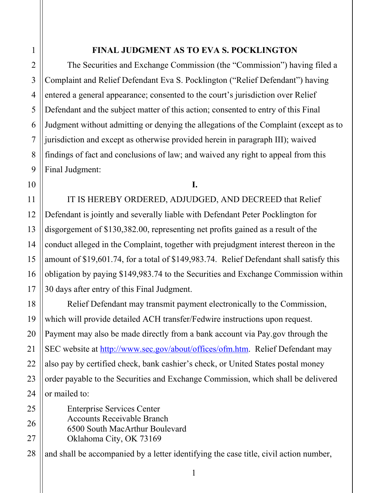## **FINAL JUDGMENT AS TO EVA S. POCKLINGTON**

The Securities and Exchange Commission (the "Commission") having filed a Complaint and Relief Defendant Eva S. Pocklington ("Relief Defendant") having entered a general appearance; consented to the court's jurisdiction over Relief Defendant and the subject matter of this action; consented to entry of this Final Judgment without admitting or denying the allegations of the Complaint (except as to jurisdiction and except as otherwise provided herein in paragraph III); waived findings of fact and conclusions of law; and waived any right to appeal from this Final Judgment:

## **I.**

IT IS HEREBY ORDERED, ADJUDGED, AND DECREED that Relief Defendant is jointly and severally liable with Defendant Peter Pocklington for disgorgement of \$130,382.00, representing net profits gained as a result of the conduct alleged in the Complaint, together with prejudgment interest thereon in the amount of \$19,601.74, for a total of \$149,983.74. Relief Defendant shall satisfy this obligation by paying \$149,983.74 to the Securities and Exchange Commission within 30 days after entry of this Final Judgment.

Relief Defendant may transmit payment electronically to the Commission, which will provide detailed ACH transfer/Fedwire instructions upon request. Payment may also be made directly from a bank account via Pay.gov through the SEC website at http://www.sec.gov/about/offices/ofm.htm. Relief Defendant may also pay by certified check, bank cashier's check, or United States postal money order payable to the Securities and Exchange Commission, which shall be delivered or mailed to:

Enterprise Services Center Accounts Receivable Branch 6500 South MacArthur Boulevard Oklahoma City, OK 73169

and shall be accompanied by a letter identifying the case title, civil action number,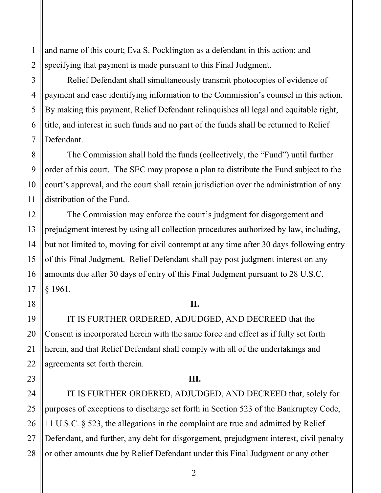and name of this court; Eva S. Pocklington as a defendant in this action; and specifying that payment is made pursuant to this Final Judgment.

Relief Defendant shall simultaneously transmit photocopies of evidence of payment and case identifying information to the Commission's counsel in this action. By making this payment, Relief Defendant relinquishes all legal and equitable right, title, and interest in such funds and no part of the funds shall be returned to Relief Defendant.

The Commission shall hold the funds (collectively, the "Fund") until further order of this court. The SEC may propose a plan to distribute the Fund subject to the court's approval, and the court shall retain jurisdiction over the administration of any distribution of the Fund.

The Commission may enforce the court's judgment for disgorgement and prejudgment interest by using all collection procedures authorized by law, including, but not limited to, moving for civil contempt at any time after 30 days following entry of this Final Judgment. Relief Defendant shall pay post judgment interest on any amounts due after 30 days of entry of this Final Judgment pursuant to 28 U.S.C. § 1961.

## **II.**

IT IS FURTHER ORDERED, ADJUDGED, AND DECREED that the Consent is incorporated herein with the same force and effect as if fully set forth herein, and that Relief Defendant shall comply with all of the undertakings and agreements set forth therein.

## **III.**

IT IS FURTHER ORDERED, ADJUDGED, AND DECREED that, solely for purposes of exceptions to discharge set forth in Section 523 of the Bankruptcy Code, 11 U.S.C. § 523, the allegations in the complaint are true and admitted by Relief Defendant, and further, any debt for disgorgement, prejudgment interest, civil penalty or other amounts due by Relief Defendant under this Final Judgment or any other